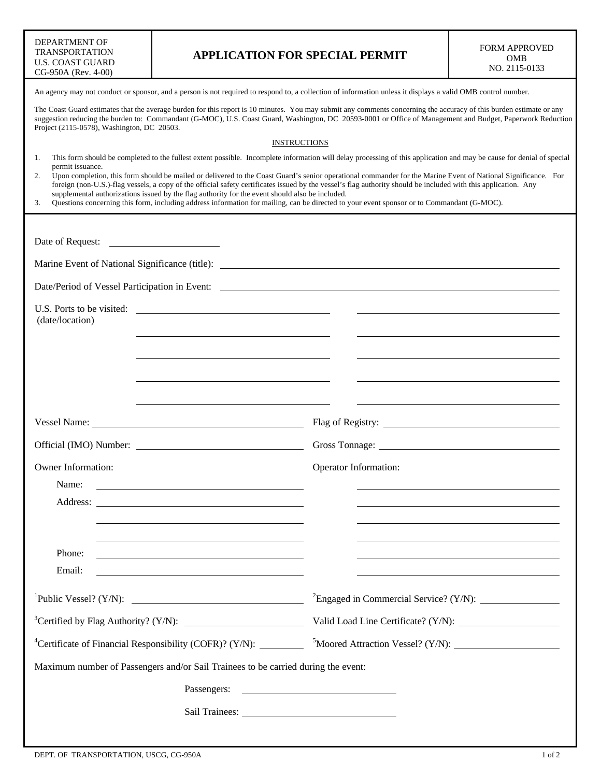| DEPARTMENT OF       |  |  |  |  |
|---------------------|--|--|--|--|
| TRANSPORTATION      |  |  |  |  |
| U.S. COAST GUARD    |  |  |  |  |
| CG-950A (Rev. 4-00) |  |  |  |  |

An agency may not conduct or sponsor, and a person is not required to respond to, a collection of information unless it displays a valid OMB control number.

The Coast Guard estimates that the average burden for this report is 10 minutes. You may submit any comments concerning the accuracy of this burden estimate or any suggestion reducing the burden to: Commandant (G-MOC), U.S. Coast Guard, Washington, DC 20593-0001 or Office of Management and Budget, Paperwork Reduction Project (2115-0578), Washington, DC 20503.

## INSTRUCTIONS

1. This form should be completed to the fullest extent possible. Incomplete information will delay processing of this application and may be cause for denial of special permit issuance.

|                                                                                                 | 2. Upon completion, this form should be mailed or delivered to the Coast Guard's senior operational commander for the Marine Event of National Significance. For |  |
|-------------------------------------------------------------------------------------------------|------------------------------------------------------------------------------------------------------------------------------------------------------------------|--|
|                                                                                                 | foreign (non-U.S.)-flag vessels, a copy of the official safety certificates issued by the vessel's flag authority should be included with this application. Any  |  |
| supplemental authorizations issued by the flag authority for the event should also be included. |                                                                                                                                                                  |  |

3. Questions concerning this form, including address information for mailing, can be directed to your event sponsor or to Commandant (G-MOC).

| Date of Request:                                                                                                                     |                       |  |  |  |
|--------------------------------------------------------------------------------------------------------------------------------------|-----------------------|--|--|--|
|                                                                                                                                      |                       |  |  |  |
| Date/Period of Vessel Participation in Event:                                                                                        |                       |  |  |  |
| (date/location)                                                                                                                      |                       |  |  |  |
|                                                                                                                                      |                       |  |  |  |
|                                                                                                                                      |                       |  |  |  |
|                                                                                                                                      |                       |  |  |  |
|                                                                                                                                      |                       |  |  |  |
|                                                                                                                                      |                       |  |  |  |
| Owner Information:                                                                                                                   | Operator Information: |  |  |  |
| Name:                                                                                                                                |                       |  |  |  |
|                                                                                                                                      |                       |  |  |  |
|                                                                                                                                      |                       |  |  |  |
| Phone:<br><u> 1980 - John Stein, mars and de Britain and de Britain and de Britain and de Britain and de Britain and de Br</u>       |                       |  |  |  |
| Email:                                                                                                                               |                       |  |  |  |
| ${}^{1}$ Public Vessel? (Y/N):                                                                                                       |                       |  |  |  |
| <sup>3</sup> Certified by Flag Authority? (Y/N): $\_\_\_\_\_\_\_\_\_\_\_\_\_\_\_\_\_\_\_\_\_\_\_\_\_\_\_\_\_\_$                      |                       |  |  |  |
| <sup>4</sup> Certificate of Financial Responsibility (COFR)? (Y/N): Moored Attraction Vessel? (Y/N):                                 |                       |  |  |  |
| Maximum number of Passengers and/or Sail Trainees to be carried during the event:                                                    |                       |  |  |  |
| Passengers:<br><u> 1989 - Johann Barbara, martin amerikan basal dan berasal dan berasal dalam basal dalam basal dalam basal dala</u> |                       |  |  |  |
|                                                                                                                                      |                       |  |  |  |
|                                                                                                                                      |                       |  |  |  |